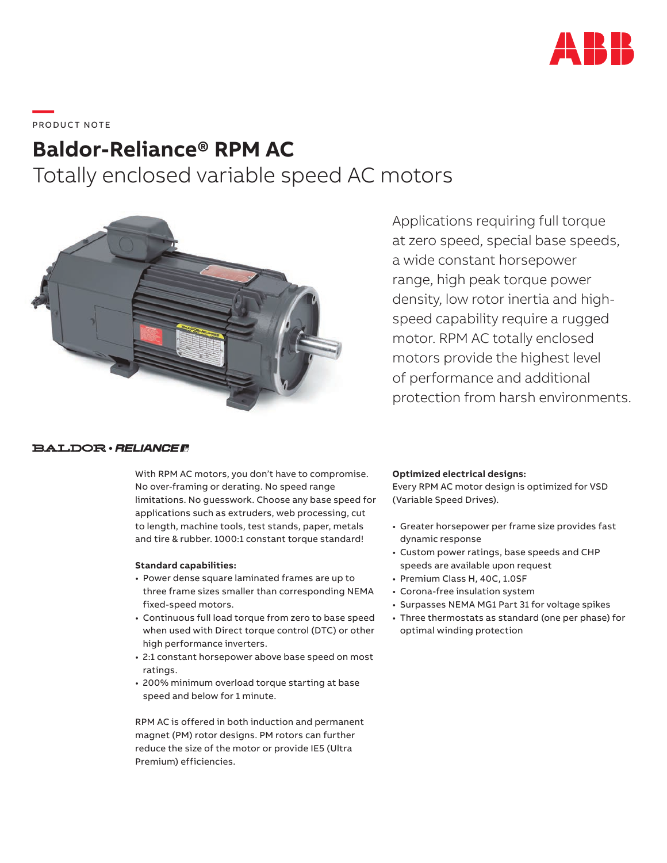

**—**  PRO DUC T NOTE

# **Baldor-Reliance® RPM AC** Totally enclosed variable speed AC motors



**BALDOR** · RELIANCE F

With RPM AC motors, you don't have to compromise. No over-framing or derating. No speed range limitations. No guesswork. Choose any base speed for applications such as extruders, web processing, cut to length, machine tools, test stands, paper, metals and tire & rubber. 1000:1 constant torque standard!

#### **Standard capabilities:**

- Power dense square laminated frames are up to three frame sizes smaller than corresponding NEMA fixed-speed motors.
- Continuous full load torque from zero to base speed when used with Direct torque control (DTC) or other high performance inverters.
- 2:1 constant horsepower above base speed on most ratings.
- 200% minimum overload torque starting at base speed and below for 1 minute.

RPM AC is offered in both induction and permanent magnet (PM) rotor designs. PM rotors can further reduce the size of the motor or provide IE5 (Ultra Premium) efficiencies.

Applications requiring full torque at zero speed, special base speeds, a wide constant horsepower range, high peak torque power density, low rotor inertia and highspeed capability require a rugged motor. RPM AC totally enclosed motors provide the highest level of performance and additional protection from harsh environments.

## **Optimized electrical designs:**

Every RPM AC motor design is optimized for VSD (Variable Speed Drives).

- Greater horsepower per frame size provides fast dynamic response
- Custom power ratings, base speeds and CHP speeds are available upon request
- Premium Class H, 40C, 1.0SF
- Corona-free insulation system
- Surpasses NEMA MG1 Part 31 for voltage spikes
- Three thermostats as standard (one per phase) for optimal winding protection